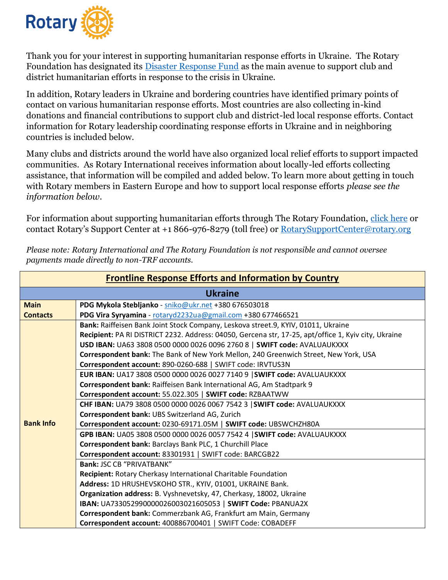

Thank you for your interest in supporting humanitarian response efforts in Ukraine. The Rotary Foundation has designated its [Disaster Response Fund](https://my.rotary.org/en/disaster-response-fund) as the main avenue to support club and district humanitarian efforts in response to the crisis in Ukraine.

In addition, Rotary leaders in Ukraine and bordering countries have identified primary points of contact on various humanitarian response efforts. Most countries are also collecting in-kind donations and financial contributions to support club and district-led local response efforts. Contact information for Rotary leadership coordinating response efforts in Ukraine and in neighboring countries is included below.

Many clubs and districts around the world have also organized local relief efforts to support impacted communities. As Rotary International receives information about locally-led efforts collecting assistance, that information will be compiled and added below. To learn more about getting in touch with Rotary members in Eastern Europe and how to support local response efforts *please see the information below.* 

For information about supporting humanitarian efforts through The Rotary Foundation, [click here](https://www.rotary.org/en/rotary-foundation-creates-channel-direct-humanitarian-support-ukraine-region) or contact Rotary's Support Center at +1 866-976-8279 (toll free) or [RotarySupportCenter@rotary.org](mailto:RotarySupportCenter@rotary.org)

| <b>Frontline Response Efforts and Information by Country</b> |                                                                                                      |  |
|--------------------------------------------------------------|------------------------------------------------------------------------------------------------------|--|
| <b>Ukraine</b>                                               |                                                                                                      |  |
| <b>Main</b>                                                  | PDG Mykola Stebljanko - sniko@ukr.net +380 676503018                                                 |  |
| <b>Contacts</b>                                              | PDG Vira Syryamina - rotaryd2232ua@gmail.com +380 677466521                                          |  |
|                                                              | Bank: Raiffeisen Bank Joint Stock Company, Leskova street.9, KYIV, 01011, Ukraine                    |  |
|                                                              | Recipient: PA RI DISTRICT 2232. Address: 04050, Gercena str, 17-25, apt/office 1, Kyiv city, Ukraine |  |
|                                                              | USD IBAN: UA63 3808 0500 0000 0026 0096 2760 8   SWIFT code: AVALUAUKXXX                             |  |
|                                                              | Correspondent bank: The Bank of New York Mellon, 240 Greenwich Street, New York, USA                 |  |
|                                                              | Correspondent account: 890-0260-688   SWIFT code: IRVTUS3N                                           |  |
|                                                              | EUR IBAN: UA17 3808 0500 0000 0026 0027 7140 9   SWIFT code: AVALUAUKXXX                             |  |
|                                                              | Correspondent bank: Raiffeisen Bank International AG, Am Stadtpark 9                                 |  |
|                                                              | Correspondent account: 55.022.305   SWIFT code: RZBAATWW                                             |  |
|                                                              | CHF IBAN: UA79 3808 0500 0000 0026 0067 7542 3   SWIFT code: AVALUAUKXXX                             |  |
|                                                              | Correspondent bank: UBS Switzerland AG, Zurich                                                       |  |
| <b>Bank Info</b>                                             | Correspondent account: 0230-69171.05M   SWIFT code: UBSWCHZH80A                                      |  |
|                                                              | GPB IBAN: UA05 3808 0500 0000 0026 0057 7542 4   SWIFT code: AVALUAUKXXX                             |  |
|                                                              | Correspondent bank: Barclays Bank PLC, 1 Churchill Place                                             |  |
|                                                              | Correspondent account: 83301931   SWIFT code: BARCGB22                                               |  |
|                                                              | Bank: JSC CB "PRIVATBANK"                                                                            |  |
|                                                              | <b>Recipient: Rotary Cherkasy International Charitable Foundation</b>                                |  |
|                                                              | Address: 1D HRUSHEVSKOHO STR., KYIV, 01001, UKRAINE Bank.                                            |  |
|                                                              | Organization address: B. Vyshnevetsky, 47, Cherkasy, 18002, Ukraine                                  |  |
|                                                              | IBAN: UA733052990000026003021605053   SWIFT Code: PBANUA2X                                           |  |
|                                                              | Correspondent bank: Commerzbank AG, Frankfurt am Main, Germany                                       |  |
|                                                              | Correspondent account: 400886700401   SWIFT Code: COBADEFF                                           |  |

*Please note: Rotary International and The Rotary Foundation is not responsible and cannot oversee payments made directly to non-TRF accounts.*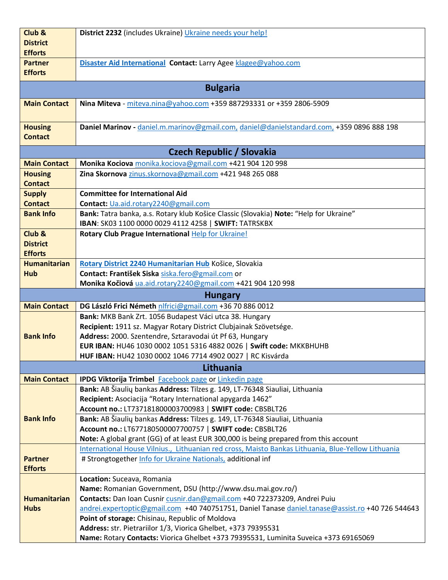| Club &              | District 2232 (includes Ukraine) Ukraine needs your help!                                                                                                                     |  |
|---------------------|-------------------------------------------------------------------------------------------------------------------------------------------------------------------------------|--|
| <b>District</b>     |                                                                                                                                                                               |  |
| <b>Efforts</b>      |                                                                                                                                                                               |  |
| <b>Partner</b>      | Disaster Aid International Contact: Larry Agee klagee@yahoo.com                                                                                                               |  |
| <b>Efforts</b>      |                                                                                                                                                                               |  |
|                     |                                                                                                                                                                               |  |
|                     | <b>Bulgaria</b>                                                                                                                                                               |  |
| <b>Main Contact</b> | Nina Miteva - miteva.nina@yahoo.com +359 887293331 or +359 2806-5909                                                                                                          |  |
|                     |                                                                                                                                                                               |  |
| <b>Housing</b>      | Daniel Marinov - daniel.m.marinov@gmail.com, daniel@danielstandard.com, +359 0896 888 198                                                                                     |  |
| <b>Contact</b>      |                                                                                                                                                                               |  |
|                     |                                                                                                                                                                               |  |
|                     | <b>Czech Republic / Slovakia</b>                                                                                                                                              |  |
| <b>Main Contact</b> | Monika Kociova monika.kociova@gmail.com +421 904 120 998                                                                                                                      |  |
| <b>Housing</b>      | Zina Skornova zinus.skornova@gmail.com +421 948 265 088                                                                                                                       |  |
| <b>Contact</b>      |                                                                                                                                                                               |  |
| <b>Supply</b>       | <b>Committee for International Aid</b>                                                                                                                                        |  |
| <b>Contact</b>      | Contact: Ua.aid.rotary2240@gmail.com                                                                                                                                          |  |
| <b>Bank Info</b>    | Bank: Tatra banka, a.s. Rotary klub Košice Classic (Slovakia) Note: "Help for Ukraine"<br>IBAN: SK03 1100 0000 0029 4112 4258   SWIFT: TATRSKBX                               |  |
| Club &              | Rotary Club Prague International Help for Ukraine!                                                                                                                            |  |
| <b>District</b>     |                                                                                                                                                                               |  |
| <b>Efforts</b>      |                                                                                                                                                                               |  |
| <b>Humanitarian</b> | Rotary District 2240 Humanitarian Hub Košice, Slovakia                                                                                                                        |  |
| <b>Hub</b>          | Contact: František Siska siska.fero@gmail.com or                                                                                                                              |  |
|                     | Monika Kočiová ua.aid.rotary2240@gmail.com +421 904 120 998                                                                                                                   |  |
|                     |                                                                                                                                                                               |  |
|                     | <b>Hungary</b>                                                                                                                                                                |  |
| <b>Main Contact</b> | DG László Frici Németh nlfrici@gmail.com +36 70 886 0012                                                                                                                      |  |
|                     | Bank: MKB Bank Zrt. 1056 Budapest Váci utca 38. Hungary                                                                                                                       |  |
|                     | Recipient: 1911 sz. Magyar Rotary District Clubjainak Szövetsége.                                                                                                             |  |
| <b>Bank Info</b>    | Address: 2000. Szentendre, Sztaravodai út Pf 63, Hungary                                                                                                                      |  |
|                     | EUR IBAN: HU46 1030 0002 1051 5316 4882 0026   Swift code: MKKBHUHB                                                                                                           |  |
|                     | HUF IBAN: HU42 1030 0002 1046 7714 4902 0027   RC Kisvárda                                                                                                                    |  |
|                     | Lithuania                                                                                                                                                                     |  |
| <b>Main Contact</b> | IPDG Viktorija Trimbel Facebook page or Linkedin page                                                                                                                         |  |
|                     | Bank: AB Šiaulių bankas Address: Tilzes g. 149, LT-76348 Siauliai, Lithuania                                                                                                  |  |
|                     | Recipient: Asociacija "Rotary International apygarda 1462"                                                                                                                    |  |
|                     | Account no.: LT737181800003700983   SWIFT code: CBSBLT26                                                                                                                      |  |
| <b>Bank Info</b>    | Bank: AB Šiaulių bankas Address: Tilzes g. 149, LT-76348 Siauliai, Lithuania                                                                                                  |  |
|                     | Account no.: LT677180500007700757   SWIFT code: CBSBLT26                                                                                                                      |  |
|                     | Note: A global grant (GG) of at least EUR 300,000 is being prepared from this account                                                                                         |  |
|                     | International House Vilnius., Lithuanian red cross, Maisto Bankas Lithuania, Blue-Yellow Lithuania                                                                            |  |
| <b>Partner</b>      | # Strongtogether Info for Ukraine Nationals, additional inf                                                                                                                   |  |
| <b>Efforts</b>      |                                                                                                                                                                               |  |
|                     | Location: Suceava, Romania                                                                                                                                                    |  |
| <b>Humanitarian</b> | Name: Romanian Government, DSU (http://www.dsu.mai.gov.ro/)                                                                                                                   |  |
| <b>Hubs</b>         | Contacts: Dan Ioan Cusnir cusnir.dan@gmail.com +40 722373209, Andrei Puiu<br>andrei.expertoptic@gmail.com +40 740751751, Daniel Tanase daniel.tanase@assist.ro +40 726 544643 |  |
|                     | Point of storage: Chisinau, Republic of Moldova                                                                                                                               |  |
|                     | Address: str. Pietrariilor 1/3, Viorica Ghelbet, +373 79395531                                                                                                                |  |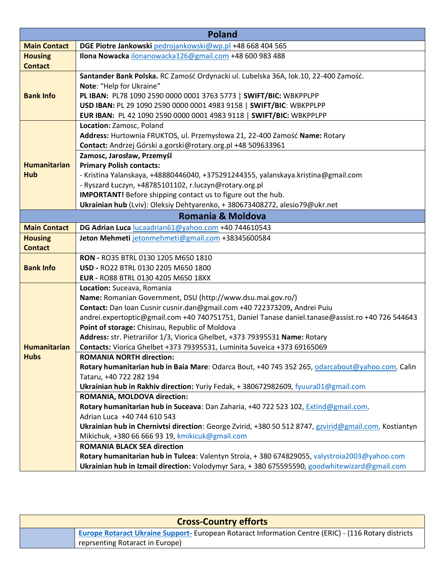| <b>Poland</b>       |                                                                                                       |  |
|---------------------|-------------------------------------------------------------------------------------------------------|--|
| <b>Main Contact</b> | DGE Piotre Jankowski pedrojankowski@wp.pl +48 668 404 565                                             |  |
| <b>Housing</b>      | Ilona Nowacka ilonanowacka126@gmail.com +48 600 983 488                                               |  |
| <b>Contact</b>      |                                                                                                       |  |
|                     | Santander Bank Polska. RC Zamość Ordynacki ul. Lubelska 36A, lok.10, 22-400 Zamość.                   |  |
|                     | Note: "Help for Ukraine"                                                                              |  |
| <b>Bank Info</b>    | PL IBAN: PL78 1090 2590 0000 0001 3763 5773   SWIFT/BIC: WBKPPLPP                                     |  |
|                     | USD IBAN: PL 29 1090 2590 0000 0001 4983 9158   SWIFT/BIC: WBKPPLPP                                   |  |
|                     | EUR IBAN: PL 42 1090 2590 0000 0001 4983 9118   SWIFT/BIC: WBKPPLPP                                   |  |
|                     | Location: Zamosc, Poland                                                                              |  |
|                     | Address: Hurtownia FRUKTOS, ul. Przemysłowa 21, 22-400 Zamość Name: Rotary                            |  |
|                     | Contact: Andrzej Górski a.gorski@rotary.org.pl +48 509633961                                          |  |
|                     | Zamosc, Jarosław, Przemyśl                                                                            |  |
| <b>Humanitarian</b> | <b>Primary Polish contacts:</b>                                                                       |  |
| <b>Hub</b>          | - Kristina Yalanskaya, +48880446040, +375291244355, yalanskaya.kristina@gmail.com                     |  |
|                     | - Ryszard Łuczyn, +48785101102, r.luczyn@rotary.org.pl                                                |  |
|                     | <b>IMPORTANT!</b> Before shipping contact us to figure out the hub.                                   |  |
|                     | Ukrainian hub (Lviv): Oleksiy Dehtyarenko, +380673408272, alesio79@ukr.net                            |  |
|                     | Romania & Moldova                                                                                     |  |
| <b>Main Contact</b> | DG Adrian Luca lucaadrian61@yahoo.com +40 744610543                                                   |  |
| <b>Housing</b>      | Jeton Mehmeti jetonmehmeti@gmail.com +38345600584                                                     |  |
| <b>Contact</b>      |                                                                                                       |  |
|                     | RON - RO35 BTRL 0130 1205 M650 1810                                                                   |  |
| <b>Bank Info</b>    | USD - RO22 BTRL 0130 2205 M650 1800                                                                   |  |
|                     | EUR - RO88 BTRL 0130 4205 M650 18XX                                                                   |  |
|                     | Location: Suceava, Romania                                                                            |  |
|                     | Name: Romanian Government, DSU (http://www.dsu.mai.gov.ro/)                                           |  |
|                     | Contact: Dan Ioan Cusnir cusnir.dan@gmail.com +40 722373209, Andrei Puiu                              |  |
|                     | andrei.expertoptic@gmail.com +40 740751751, Daniel Tanase daniel.tanase@assist.ro +40 726 544643      |  |
|                     | Point of storage: Chisinau, Republic of Moldova                                                       |  |
|                     | Address: str. Pietrariilor 1/3, Viorica Ghelbet, +373 79395531 Name: Rotary                           |  |
| <b>Humanitarian</b> | Contacts: Viorica Ghelbet +373 79395531, Luminita Suveica +373 69165069                               |  |
| <b>Hubs</b>         | <b>ROMANIA NORTH direction:</b>                                                                       |  |
|                     | Rotary humanitarian hub in Baia Mare: Odarca Bout, +40 745 352 265, odarcabout@yahoo.com, Calin       |  |
|                     | Tataru, +40 722 282 194                                                                               |  |
|                     | Ukrainian hub in Rakhiv direction: Yuriy Fedak, + 380672982609, fyuura01@gmail.com                    |  |
|                     | ROMANIA, MOLDOVA direction:                                                                           |  |
|                     | Rotary humanitarian hub in Suceava: Dan Zaharia, +40 722 523 102, Extind@gmail.com,                   |  |
|                     | Adrian Luca +40 744 610 543                                                                           |  |
|                     | Ukrainian hub in Chernivtsi direction: George Zvirid, +380 50 512 8747, gzvirid@gmail.com, Kostiantyn |  |
|                     | Mikichuk, +380 66 666 93 19, kmikicuk@gmail.com                                                       |  |
|                     | <b>ROMANIA BLACK SEA direction</b>                                                                    |  |
|                     | Rotary humanitarian hub in Tulcea: Valentyn Stroia, +380 674829055, valystroia2003@yahoo.com          |  |
|                     | Ukrainian hub in Izmail direction: Volodymyr Sara, +380 675595590, goodwhitewizard@gmail.com          |  |

| <b>Cross-Country efforts</b> |                                                                                                            |  |
|------------------------------|------------------------------------------------------------------------------------------------------------|--|
|                              | <b>Europe Rotaract Ukraine Support-European Rotaract Information Centre (ERIC) - (116 Rotary districts</b> |  |
|                              | reprsenting Rotaract in Europe)                                                                            |  |